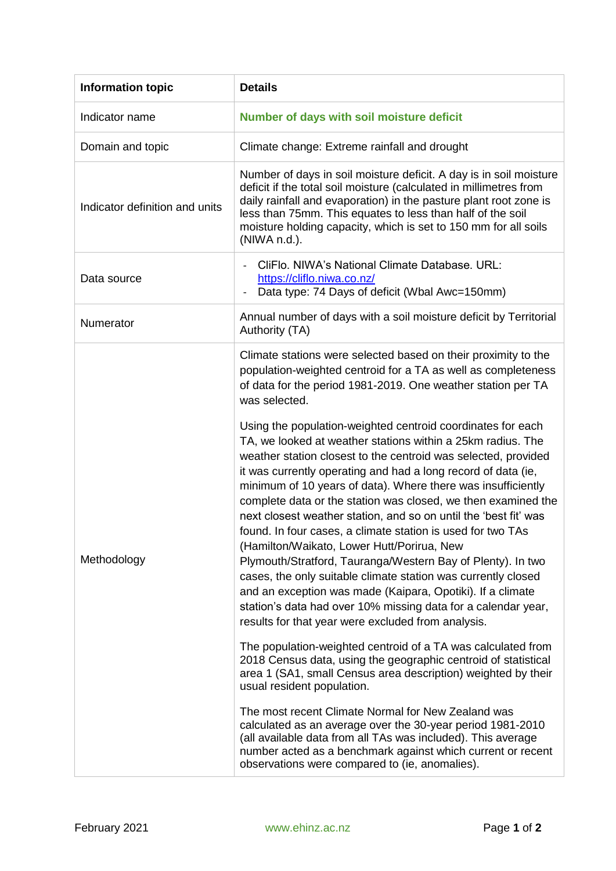| <b>Information topic</b>       | <b>Details</b>                                                                                                                                                                                                                                                                                                                                                                                                                                                                                                                                                                                                                                                                                                                                                                                                                                                                                                                                                                                                                                                                                                                                                                                                                                                                                                                                                                                                                                                                |
|--------------------------------|-------------------------------------------------------------------------------------------------------------------------------------------------------------------------------------------------------------------------------------------------------------------------------------------------------------------------------------------------------------------------------------------------------------------------------------------------------------------------------------------------------------------------------------------------------------------------------------------------------------------------------------------------------------------------------------------------------------------------------------------------------------------------------------------------------------------------------------------------------------------------------------------------------------------------------------------------------------------------------------------------------------------------------------------------------------------------------------------------------------------------------------------------------------------------------------------------------------------------------------------------------------------------------------------------------------------------------------------------------------------------------------------------------------------------------------------------------------------------------|
| Indicator name                 | Number of days with soil moisture deficit                                                                                                                                                                                                                                                                                                                                                                                                                                                                                                                                                                                                                                                                                                                                                                                                                                                                                                                                                                                                                                                                                                                                                                                                                                                                                                                                                                                                                                     |
| Domain and topic               | Climate change: Extreme rainfall and drought                                                                                                                                                                                                                                                                                                                                                                                                                                                                                                                                                                                                                                                                                                                                                                                                                                                                                                                                                                                                                                                                                                                                                                                                                                                                                                                                                                                                                                  |
| Indicator definition and units | Number of days in soil moisture deficit. A day is in soil moisture<br>deficit if the total soil moisture (calculated in millimetres from<br>daily rainfall and evaporation) in the pasture plant root zone is<br>less than 75mm. This equates to less than half of the soil<br>moisture holding capacity, which is set to 150 mm for all soils<br>(NIWA n.d.).                                                                                                                                                                                                                                                                                                                                                                                                                                                                                                                                                                                                                                                                                                                                                                                                                                                                                                                                                                                                                                                                                                                |
| Data source                    | CliFlo. NIWA's National Climate Database. URL:<br>https://cliflo.niwa.co.nz/<br>Data type: 74 Days of deficit (Wbal Awc=150mm)                                                                                                                                                                                                                                                                                                                                                                                                                                                                                                                                                                                                                                                                                                                                                                                                                                                                                                                                                                                                                                                                                                                                                                                                                                                                                                                                                |
| Numerator                      | Annual number of days with a soil moisture deficit by Territorial<br>Authority (TA)                                                                                                                                                                                                                                                                                                                                                                                                                                                                                                                                                                                                                                                                                                                                                                                                                                                                                                                                                                                                                                                                                                                                                                                                                                                                                                                                                                                           |
| Methodology                    | Climate stations were selected based on their proximity to the<br>population-weighted centroid for a TA as well as completeness<br>of data for the period 1981-2019. One weather station per TA<br>was selected.<br>Using the population-weighted centroid coordinates for each<br>TA, we looked at weather stations within a 25km radius. The<br>weather station closest to the centroid was selected, provided<br>it was currently operating and had a long record of data (ie,<br>minimum of 10 years of data). Where there was insufficiently<br>complete data or the station was closed, we then examined the<br>next closest weather station, and so on until the 'best fit' was<br>found. In four cases, a climate station is used for two TAs<br>(Hamilton/Waikato, Lower Hutt/Porirua, New<br>Plymouth/Stratford, Tauranga/Western Bay of Plenty). In two<br>cases, the only suitable climate station was currently closed<br>and an exception was made (Kaipara, Opotiki). If a climate<br>station's data had over 10% missing data for a calendar year,<br>results for that year were excluded from analysis.<br>The population-weighted centroid of a TA was calculated from<br>2018 Census data, using the geographic centroid of statistical<br>area 1 (SA1, small Census area description) weighted by their<br>usual resident population.<br>The most recent Climate Normal for New Zealand was<br>calculated as an average over the 30-year period 1981-2010 |
|                                | (all available data from all TAs was included). This average<br>number acted as a benchmark against which current or recent<br>observations were compared to (ie, anomalies).                                                                                                                                                                                                                                                                                                                                                                                                                                                                                                                                                                                                                                                                                                                                                                                                                                                                                                                                                                                                                                                                                                                                                                                                                                                                                                 |